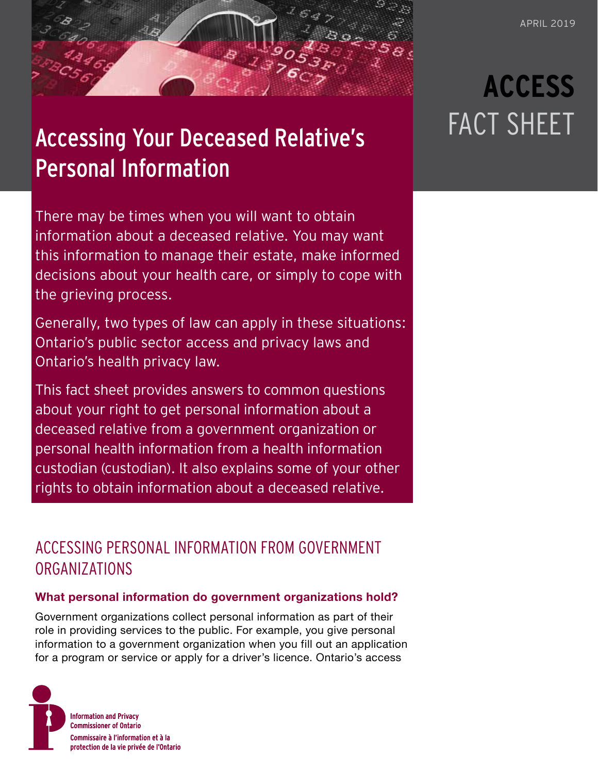## Accessing Your Deceased Relative's Personal Information

There may be times when you will want to obtain information about a deceased relative. You may want this information to manage their estate, make informed decisions about your health care, or simply to cope with the grieving process.

Generally, two types of law can apply in these situations: Ontario's public sector access and privacy laws and Ontario's health privacy law.

This fact sheet provides answers to common questions about your right to get personal information about a deceased relative from a government organization or personal health information from a health information custodian (custodian). It also explains some of your other rights to obtain information about a deceased relative.

### ACCESSING PERSONAL INFORMATION FROM GOVERNMENT ORGANIZATIONS

#### **What personal information do government organizations hold?**

Government organizations collect personal information as part of their role in providing services to the public. For example, you give personal information to a government organization when you fill out an application for a program or service or apply for a driver's licence. Ontario's access



# **ACCESS** FACT SHEET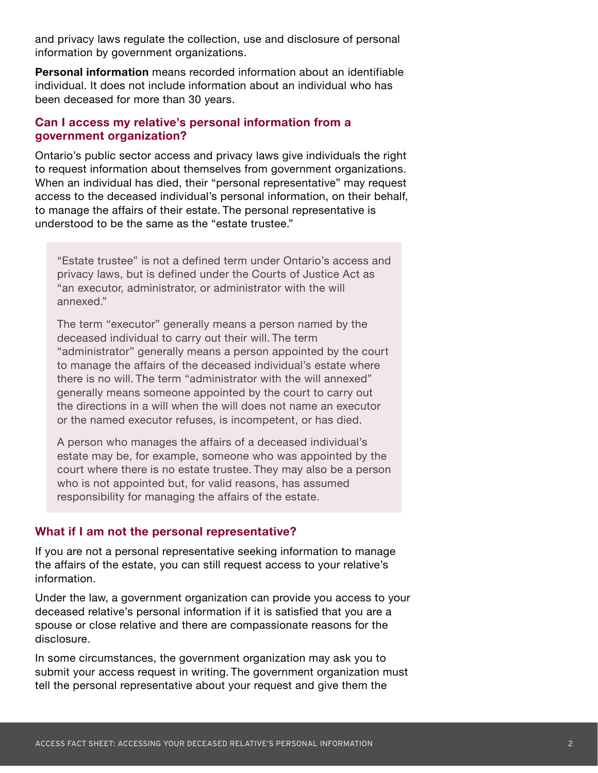and privacy laws regulate the collection, use and disclosure of personal information by government organizations.

**Personal information** means recorded information about an identifiable individual. It does not include information about an individual who has been deceased for more than 30 years.

#### **Can I access my relative's personal information from a government organization?**

Ontario's public sector access and privacy laws give individuals the right to request information about themselves from government organizations. When an individual has died, their "personal representative" may request access to the deceased individual's personal information, on their behalf, to manage the affairs of their estate. The personal representative is understood to be the same as the "estate trustee."

"Estate trustee" is not a defined term under Ontario's access and privacy laws, but is defined under the Courts of Justice Act as "an executor, administrator, or administrator with the will annexed."

The term "executor" generally means a person named by the deceased individual to carry out their will. The term "administrator" generally means a person appointed by the court to manage the affairs of the deceased individual's estate where there is no will. The term "administrator with the will annexed" generally means someone appointed by the court to carry out the directions in a will when the will does not name an executor or the named executor refuses, is incompetent, or has died.

A person who manages the affairs of a deceased individual's estate may be, for example, someone who was appointed by the court where there is no estate trustee. They may also be a person who is not appointed but, for valid reasons, has assumed responsibility for managing the affairs of the estate.

#### **What if I am not the personal representative?**

If you are not a personal representative seeking information to manage the affairs of the estate, you can still request access to your relative's information.

Under the law, a government organization can provide you access to your deceased relative's personal information if it is satisfied that you are a spouse or close relative and there are compassionate reasons for the disclosure.

In some circumstances, the government organization may ask you to submit your access request in writing. The government organization must tell the personal representative about your request and give them the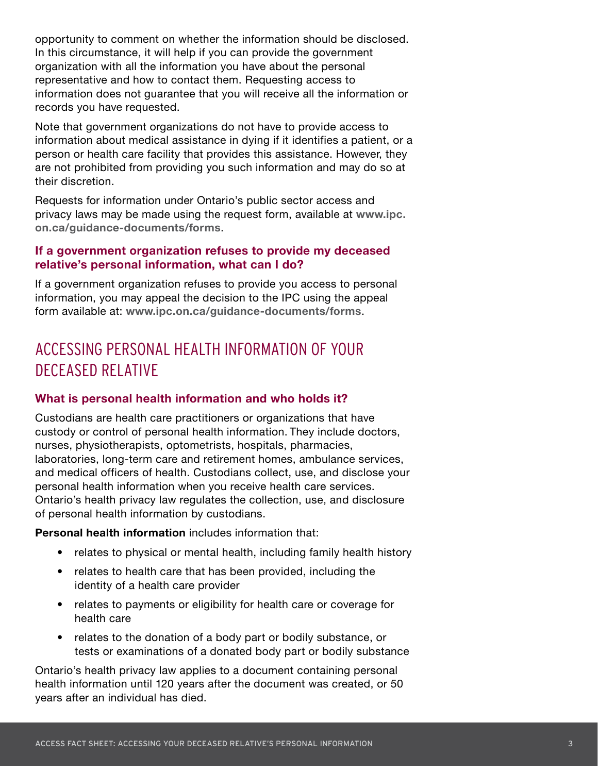opportunity to comment on whether the information should be disclosed. In this circumstance, it will help if you can provide the government organization with all the information you have about the personal representative and how to contact them. Requesting access to information does not guarantee that you will receive all the information or records you have requested.

Note that government organizations do not have to provide access to information about medical assistance in dying if it identifies a patient, or a person or health care facility that provides this assistance. However, they are not prohibited from providing you such information and may do so at their discretion.

Requests for information under Ontario's public sector access and privacy laws may be made using the request form, available at **[www.ipc.](http://www.ipc.on.ca/guidance-documents/forms) [on.ca/guidance-documents/forms](http://www.ipc.on.ca/guidance-documents/forms)**.

#### **If a government organization refuses to provide my deceased relative's personal information, what can I do?**

If a government organization refuses to provide you access to personal information, you may appeal the decision to the IPC using the appeal form available at: **[www.ipc.on.ca/guidance-documents/forms](http://www.ipc.on.ca/guidance-documents/forms)**.

## ACCESSING PERSONAL HEALTH INFORMATION OF YOUR DECEASED RELATIVE

#### **What is personal health information and who holds it?**

Custodians are health care practitioners or organizations that have custody or control of personal health information. They include doctors, nurses, physiotherapists, optometrists, hospitals, pharmacies, laboratories, long-term care and retirement homes, ambulance services, and medical officers of health. Custodians collect, use, and disclose your personal health information when you receive health care services. Ontario's health privacy law regulates the collection, use, and disclosure of personal health information by custodians.

**Personal health information** includes information that:

- relates to physical or mental health, including family health history
- relates to health care that has been provided, including the identity of a health care provider
- relates to payments or eligibility for health care or coverage for health care
- relates to the donation of a body part or bodily substance, or tests or examinations of a donated body part or bodily substance

Ontario's health privacy law applies to a document containing personal health information until 120 years after the document was created, or 50 years after an individual has died.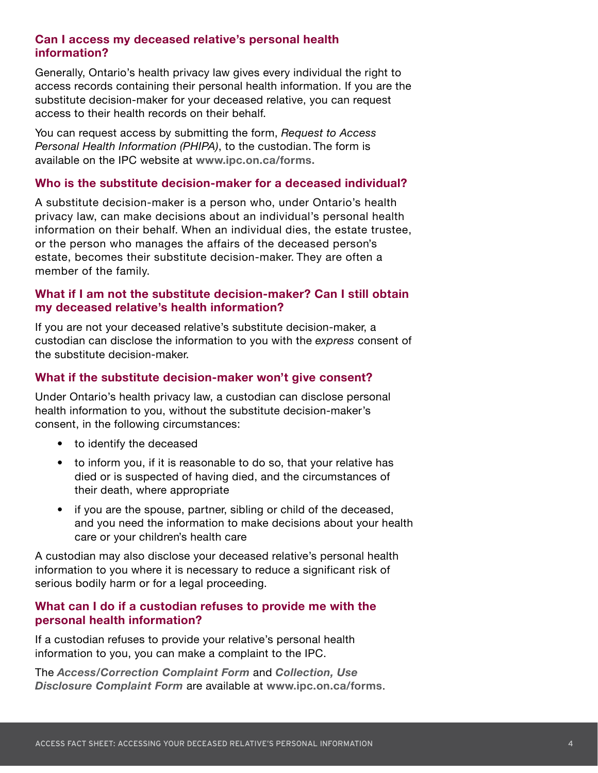#### **Can I access my deceased relative's personal health information?**

Generally, Ontario's health privacy law gives every individual the right to access records containing their personal health information. If you are the substitute decision-maker for your deceased relative, you can request access to their health records on their behalf.

You can request access by submitting the form, *Request to Access Personal Health Information (PHIPA)*, to the custodian. The form is available on the IPC website at **[www.ipc.on.ca/forms](http://www.ipc.on.ca/forms).**

#### **Who is the substitute decision-maker for a deceased individual?**

A substitute decision-maker is a person who, under Ontario's health privacy law, can make decisions about an individual's personal health information on their behalf. When an individual dies, the estate trustee, or the person who manages the affairs of the deceased person's estate, becomes their substitute decision-maker. They are often a member of the family.

#### **What if I am not the substitute decision-maker? Can I still obtain my deceased relative's health information?**

If you are not your deceased relative's substitute decision-maker, a custodian can disclose the information to you with the *express* consent of the substitute decision-maker.

#### **What if the substitute decision-maker won't give consent?**

Under Ontario's health privacy law, a custodian can disclose personal health information to you, without the substitute decision-maker's consent, in the following circumstances:

- to identify the deceased
- to inform you, if it is reasonable to do so, that your relative has died or is suspected of having died, and the circumstances of their death, where appropriate
- if you are the spouse, partner, sibling or child of the deceased, and you need the information to make decisions about your health care or your children's health care

A custodian may also disclose your deceased relative's personal health information to you where it is necessary to reduce a significant risk of serious bodily harm or for a legal proceeding.

#### **What can I do if a custodian refuses to provide me with the personal health information?**

If a custodian refuses to provide your relative's personal health information to you, you can make a complaint to the IPC.

The *[Access/Correction Complaint Form](https://www.ipc.on.ca/wp-content/uploads/2017/02/2017-phipa-acccmp-e.pdf)* and *[Collection, Use](https://www.ipc.on.ca/wp-content/uploads/2017/02/2017-phipa-cudfrm-e.pdf)  [Disclosure Complaint Form](https://www.ipc.on.ca/wp-content/uploads/2017/02/2017-phipa-cudfrm-e.pdf)* are available at **<www.ipc.on.ca/forms>**.